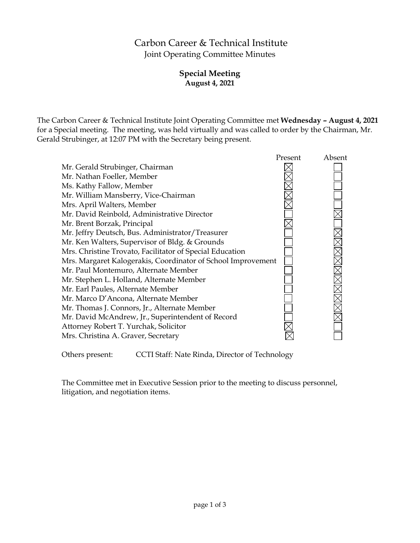# Carbon Career & Technical Institute Joint Operating Committee Minutes

# **Special Meeting August 4, 2021**

The Carbon Career & Technical Institute Joint Operating Committee met **Wednesday – August 4, 2021** for a Special meeting. The meeting, was held virtually and was called to order by the Chairman, Mr. Gerald Strubinger, at 12:07 PM with the Secretary being present.

|                                                              | Present | Absent |
|--------------------------------------------------------------|---------|--------|
| Mr. Gerald Strubinger, Chairman                              |         |        |
| Mr. Nathan Foeller, Member                                   |         |        |
| Ms. Kathy Fallow, Member                                     |         |        |
| Mr. William Mansberry, Vice-Chairman                         |         |        |
| Mrs. April Walters, Member                                   |         |        |
| Mr. David Reinbold, Administrative Director                  |         |        |
| Mr. Brent Borzak, Principal                                  |         |        |
| Mr. Jeffry Deutsch, Bus. Administrator/Treasurer             |         |        |
| Mr. Ken Walters, Supervisor of Bldg. & Grounds               |         |        |
| Mrs. Christine Trovato, Facilitator of Special Education     |         |        |
| Mrs. Margaret Kalogerakis, Coordinator of School Improvement |         |        |
| Mr. Paul Montemuro, Alternate Member                         |         |        |
| Mr. Stephen L. Holland, Alternate Member                     |         |        |
| Mr. Earl Paules, Alternate Member                            |         |        |
| Mr. Marco D'Ancona, Alternate Member                         |         |        |
| Mr. Thomas J. Connors, Jr., Alternate Member                 |         |        |
| Mr. David McAndrew, Jr., Superintendent of Record            |         |        |
| Attorney Robert T. Yurchak, Solicitor                        |         |        |
| Mrs. Christina A. Graver, Secretary                          |         |        |
|                                                              |         |        |

Others present: CCTI Staff: Nate Rinda, Director of Technology

The Committee met in Executive Session prior to the meeting to discuss personnel, litigation, and negotiation items.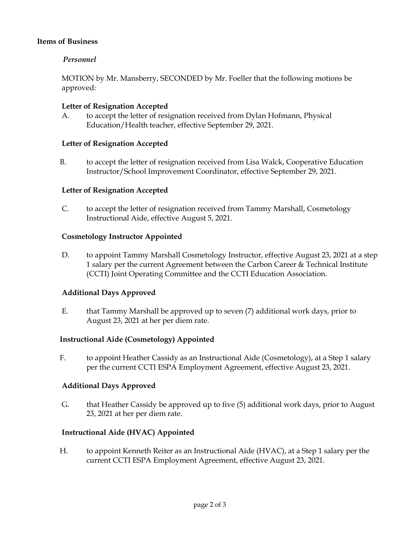## **Items of Business**

## *Personnel*

MOTION by Mr. Mansberry, SECONDED by Mr. Foeller that the following motions be approved:

#### **Letter of Resignation Accepted**

A. to accept the letter of resignation received from Dylan Hofmann, Physical Education/Health teacher, effective September 29, 2021.

#### **Letter of Resignation Accepted**

B. to accept the letter of resignation received from Lisa Walck, Cooperative Education Instructor/School Improvement Coordinator, effective September 29, 2021.

#### **Letter of Resignation Accepted**

C. to accept the letter of resignation received from Tammy Marshall, Cosmetology Instructional Aide, effective August 5, 2021.

#### **Cosmetology Instructor Appointed**

D. to appoint Tammy Marshall Cosmetology Instructor, effective August 23, 2021 at a step 1 salary per the current Agreement between the Carbon Career & Technical Institute (CCTI) Joint Operating Committee and the CCTI Education Association.

#### **Additional Days Approved**

E. that Tammy Marshall be approved up to seven (7) additional work days, prior to August 23, 2021 at her per diem rate.

#### **Instructional Aide (Cosmetology) Appointed**

F. to appoint Heather Cassidy as an Instructional Aide (Cosmetology), at a Step 1 salary per the current CCTI ESPA Employment Agreement, effective August 23, 2021.

#### **Additional Days Approved**

G. that Heather Cassidy be approved up to five (5) additional work days, prior to August 23, 2021 at her per diem rate.

#### **Instructional Aide (HVAC) Appointed**

H. to appoint Kenneth Reiter as an Instructional Aide (HVAC), at a Step 1 salary per the current CCTI ESPA Employment Agreement, effective August 23, 2021.